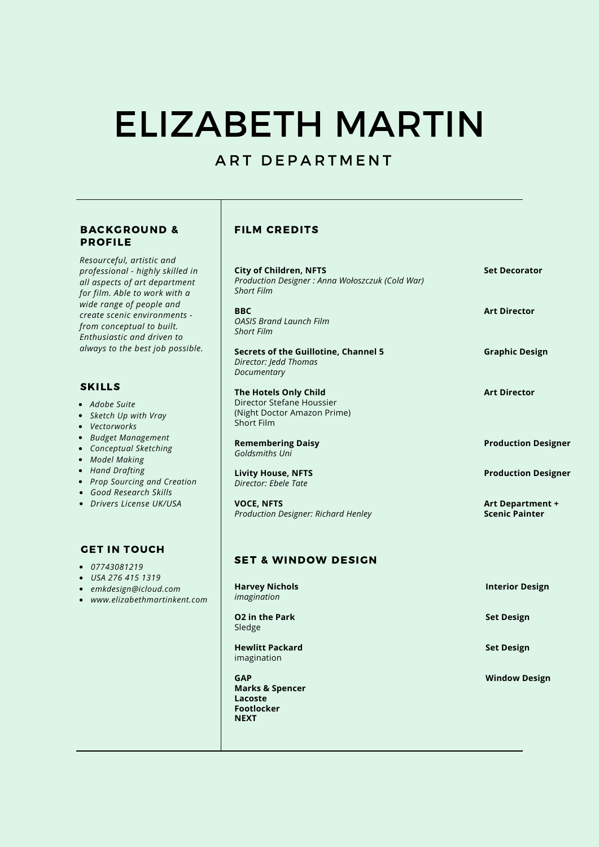# ELIZABETH MARTIN

# ART DEPARTMENT

#### BACKGROUND & PROFILE

*Resourceful, artistic and professional - highly skilled in all aspects of art department for film. Able to work with a wide range of people and create scenic environments from conceptual to built. Enthusiastic and driven to always to the best job possible.*

#### SKILLS

- *Adobe Suite*
- *Sketch Up with Vray*
- *Vectorworks*
- *Budget Management*
- *Conceptual Sketching*
- *Model Making*
- *Hand Drafting*
- *Prop Sourcing and Creation*
- *Good Research Skills*
- *Drivers License UK/USA*

#### GET IN TOUCH

- *07743081219*
- *USA 276 415 1319*
- *emkdesign@icloud.com*
- www.elizabethmartinken

#### FILM CREDITS

| <b>City of Children, NFTS</b><br>Production Designer: Anna Wołoszczuk (Cold War)<br><b>Short Film</b> | <b>Set Decorator</b>                      |
|-------------------------------------------------------------------------------------------------------|-------------------------------------------|
| <b>BBC</b><br><b>OASIS Brand Launch Film</b><br><b>Short Film</b>                                     | <b>Art Director</b>                       |
| Secrets of the Guillotine, Channel 5<br>Director: Jedd Thomas<br>Documentary                          | <b>Graphic Design</b>                     |
| The Hotels Only Child<br>Director Stefane Houssier<br>(Night Doctor Amazon Prime)<br>Short Film       | <b>Art Director</b>                       |
| <b>Remembering Daisy</b><br>Goldsmiths Uni                                                            | <b>Production Designer</b>                |
| <b>Livity House, NFTS</b><br>Director: Fhele Tate                                                     | <b>Production Designer</b>                |
| <b>VOCE, NFTS</b><br>Production Designer: Richard Henley                                              | Art Department +<br><b>Scenic Painter</b> |

## SET & WINDOW DESIGN

| it.com | <b>Harvey Nichols</b><br>imagination                                                    | <b>Interior Design</b> |
|--------|-----------------------------------------------------------------------------------------|------------------------|
|        | <b>O2</b> in the Park<br>Sledge                                                         | <b>Set Design</b>      |
|        | <b>Hewlitt Packard</b><br>imagination                                                   | <b>Set Design</b>      |
|        | <b>GAP</b><br><b>Marks &amp; Spencer</b><br>Lacoste<br><b>Footlocker</b><br><b>NEXT</b> | <b>Window Design</b>   |